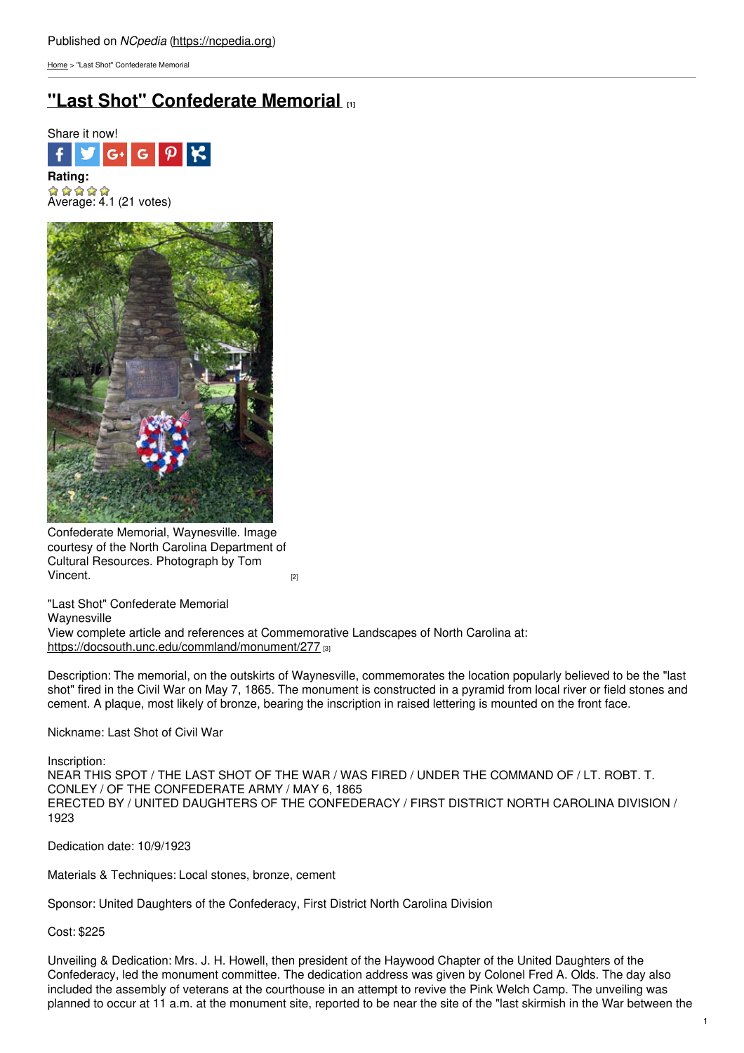[Home](https://ncpedia.org/) > "Last Shot" Confederate Memorial

## **"Last Shot" [Confederate](https://ncpedia.org/monument/last-shot-confederate) Memorial [1]**



 $\hat{A}$  $\hat{B}$  $\hat{B}$  $\hat{B}$ <br>Average: 4.1 (21 votes)



Confederate Memorial, Waynesville. Image courtesy of the North Carolina Department of Cultural Resources. Photograph by Tom [Vincent.](https://docsouth.unc.edu/static/commland/monument/277_rep.jpg)

"Last Shot" Confederate Memorial **Waynesville** View complete article and references at Commemorative Landscapes of North Carolina at: <https://docsouth.unc.edu/commland/monument/277> [3]

Description: The memorial, on the outskirts of Waynesville, commemorates the location popularly believed to be the "last shot" fired in the Civil War on May 7, 1865. The monument is constructed in a pyramid from local river or field stones and cement. A plaque, most likely of bronze, bearing the inscription in raised lettering is mounted on the front face.

Nickname: Last Shot of Civil War

Inscription: NEAR THIS SPOT / THE LAST SHOT OF THE WAR / WAS FIRED / UNDER THE COMMAND OF / LT. ROBT. T. CONLEY / OF THE CONFEDERATE ARMY / MAY 6, 1865 ERECTED BY / UNITED DAUGHTERS OF THE CONFEDERACY / FIRST DISTRICT NORTH CAROLINA DIVISION / 1923

Dedication date: 10/9/1923

Materials & Techniques: Local stones, bronze, cement

Sponsor: United Daughters of the Confederacy, First District North Carolina Division

Cost: \$225

Unveiling & Dedication: Mrs. J. H. Howell, then president of the Haywood Chapter of the United Daughters of the Confederacy, led the monument committee. The dedication address was given by Colonel Fred A. Olds. The day also included the assembly of veterans at the courthouse in an attempt to revive the Pink Welch Camp. The unveiling was planned to occur at 11 a.m. at the monument site, reported to be near the site of the "last skirmish in the War between the